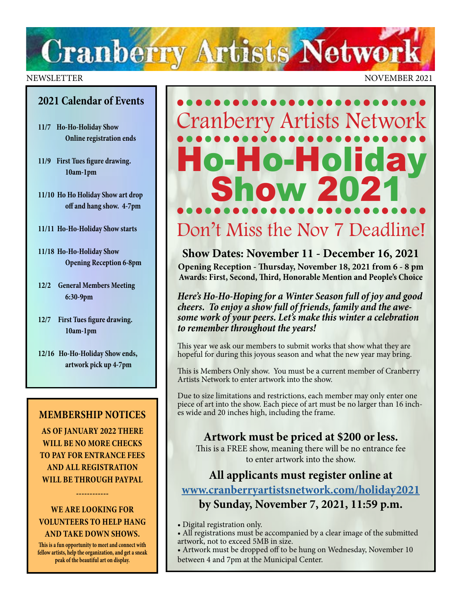# **Cranberry Artists Network**

### **2021 Calendar of Events**

- **11/7 Ho-Ho-Holiday Show Online registration ends**
- **11/9 First Tues figure drawing. 10am-1pm**
- **11/10 Ho Ho Holiday Show art drop off and hang show. 4-7pm**
- **11/11 Ho-Ho-Holiday Show starts**
- **11/18 Ho-Ho-Holiday Show Opening Reception 6-8pm**
- **12/2 General Members Meeting 6:30-9pm**
- **12/7 First Tues figure drawing. 10am-1pm**
- **12/16 Ho-Ho-Holiday Show ends, artwork pick up 4-7pm**

### **MEMBERSHIP NOTICES**

**AS OF JANUARY 2022 THERE WILL BE NO MORE CHECKS TO PAY FOR ENTRANCE FEES AND ALL REGISTRATION WILL BE THROUGH PAYPAL** 

### **WE ARE LOOKING FOR VOLUNTEERS TO HELP HANG AND TAKE DOWN SHOWS.**

**------------**

**This is a fun opportunity to meet and connect with fellow artists, help the organization, and get a sneak peak of the beautiful art on display.** 

### NEWSLETTER NOVEMBER 2021

## ••••••••••••••••••••••••••• Cranberry Artists Network ••••••••••••••••••••••••••• Ho-Holiday<br>Show 2021 ••••••••••••••••••••••••••• Don't Miss the Nov 7 Deadline!

**Show Dates: November 11 - December 16, 2021 Opening Reception - Thursday, November 18, 2021 from 6 - 8 pm Awards: First, Second, Third, Honorable Mention and People's Choice**

*Here's Ho-Ho-Hoping for a Winter Season full of joy and good cheers. To enjoy a show full of friends, family and the awe some work of your peers. Let's make this winter a celebration to remember throughout the years!*

This year we ask our members to submit works that show what they are hopeful for during this joyous season and what the new year may bring.

This is Members Only show. You must be a current member of Cranberry Artists Network to enter artwork into the show.

Due to size limitations and restrictions, each member may only enter one piece of art into the show. Each piece of art must be no larger than 16 inches wide and 20 inches high, including the frame.

### **Artwork must be priced at \$200 or less.**

This is a FREE show, meaning there will be no entrance fee to enter artwork into the show.

### **All applicants must register online at [www.cranberryartistsnetwork.com/holiday2021](http://www.cranberryartistsnetwork.com/holiday2021) by Sunday, November 7, 2021, 11:59 p.m.**

• Digital registration only.

• All registrations must be accompanied by a clear image of the submitted artwork, not to exceed 5MB in size.

• Artwork must be dropped off to be hung on Wednesday, November 10 between 4 and 7pm at the Municipal Center.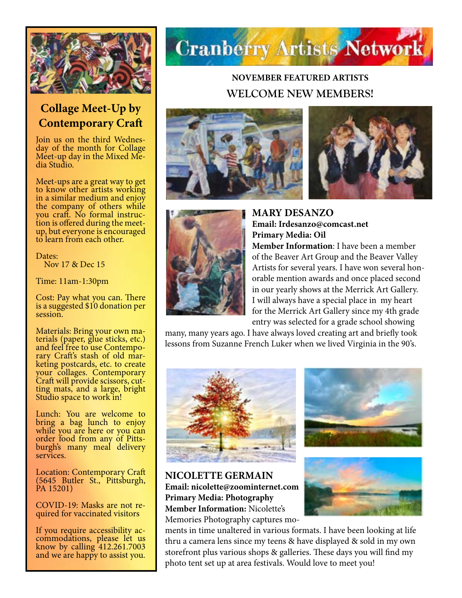

## **Collage Meet-Up by Contemporary Craft**

Join us on the third Wednes- day of the month for Collage Meet-up day in the Mixed Me- dia Studio.

Meet-ups are a great way to get to know other artists working in a similar medium and enjoy the company of others while<br>you craft. No formal instruction is offered during the meetup, but everyone is encouraged to learn from each other.

Dates: Nov 17 & Dec 15

Time: 11am-1:30pm

Cost: Pay what you can. There is a suggested \$10 donation per session.

Materials: Bring your own materials (paper, glue sticks, etc.)<br>and feel free to use Contemporary Craft's stash of old mar-<br>keting postcards, etc. to create your collages. Contemporary Craft will provide scissors, cut- ting mats, and a large, bright Studio space to work in!

Lunch: You are welcome to bring a bag lunch to enjoy while you are here or you can order food from any of Pitts- burgh's many meal delivery services.

Location: Contemporary Craft (5645 Butler St., Pittsburgh, PA 15201)

COVID-19: Masks are not re- quired for vaccinated visitors

If you require accessibility ac- commodations, please let us know by calling 412.261.7003 and we are happy to assist you.



## **NOVEMBER FEATURED ARTISTS WELCOME NEW MEMBERS!**







**MARY DESANZO Email: Irdesanzo@comcast.net Primary Media: Oil Member Information**: I have been a member of the Beaver Art Group and the Beaver Valley Artists for several years. I have won several honorable mention awards and once placed second in our yearly shows at the Merrick Art Gallery. I will always have a special place in my heart for the Merrick Art Gallery since my 4th grade entry was selected for a grade school showing

many, many years ago. I have always loved creating art and briefly took lessons from Suzanne French Luker when we lived Virginia in the 90's.





**NICOLETTE GERMAIN Email: nicolette@zoominternet.com Primary Media: Photography Member Information:** Nicolette's Memories Photography captures mo-

ments in time unaltered in various formats. I have been looking at life thru a camera lens since my teens & have displayed & sold in my own storefront plus various shops & galleries. These days you will find my photo tent set up at area festivals. Would love to meet you!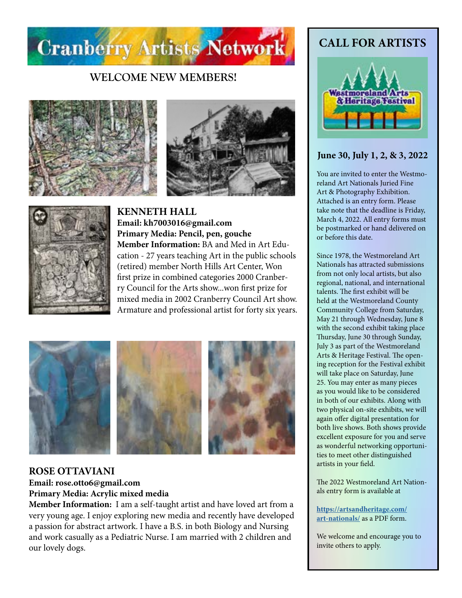

### **WELCOME NEW MEMBERS!**







**KENNETH HALL Email: kh7003016@gmail.com Primary Media: Pencil, pen, gouche Member Information:** BA and Med in Art Education - 27 years teaching Art in the public schools (retired) member North Hills Art Center, Won first prize in combined categories 2000 Cranberry Council for the Arts show...won first prize for mixed media in 2002 Cranberry Council Art show. Armature and professional artist for forty six years.



### **ROSE OTTAVIANI Email: rose.otto6@gmail.com Primary Media: Acrylic mixed media**

**Member Information:** I am a self-taught artist and have loved art from a very young age. I enjoy exploring new media and recently have developed a passion for abstract artwork. I have a B.S. in both Biology and Nursing and work casually as a Pediatric Nurse. I am married with 2 children and our lovely dogs.

## **CALL FOR ARTISTS**



### **June 30, July 1, 2, & 3, 2022**

You are invited to enter the Westmoreland Art Nationals Juried Fine Art & Photography Exhibition. Attached is an entry form. Please take note that the deadline is Friday, March 4, 2022. All entry forms must be postmarked or hand delivered on or before this date.

Since 1978, the Westmoreland Art Nationals has attracted submissions from not only local artists, but also regional, national, and international talents. The first exhibit will be held at the Westmoreland County Community College from Saturday, May 21 through Wednesday, June 8 with the second exhibit taking place Thursday, June 30 through Sunday, July 3 as part of the Westmoreland Arts & Heritage Festival. The opening reception for the Festival exhibit will take place on Saturday, June 25. You may enter as many pieces as you would like to be considered in both of our exhibits. Along with two physical on-site exhibits, we will again offer digital presentation for both live shows. Both shows provide excellent exposure for you and serve as wonderful networking opportunities to meet other distinguished artists in your field.

The 2022 Westmoreland Art Nationals entry form is available at

#### **[https://artsandheritage.com/](https://artsandheritage.com/art-nationals/) [art-nationals/](https://artsandheritage.com/art-nationals/)** as a PDF form.

We welcome and encourage you to invite others to apply.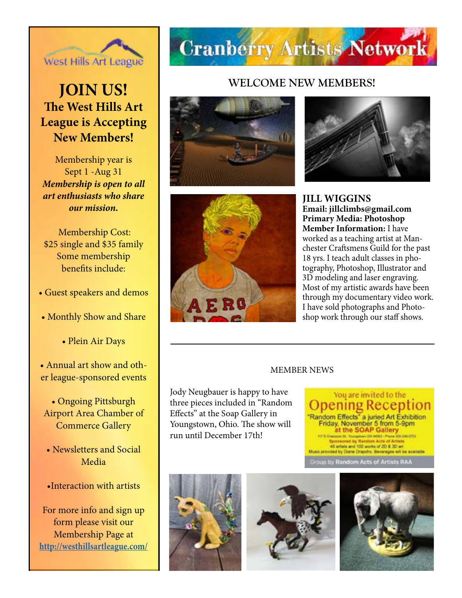

## **JOIN US! The West Hills Art League is Accepting New Members!**

Membership year is Sept 1 -Aug 31 *Membership is open to all art enthusiasts who share our mission.*

Membership Cost: \$25 single and \$35 family Some membership benefits include:

- Guest speakers and demos
- Monthly Show and Share
	- Plein Air Days
- Annual art show and other league-sponsored events
- Ongoing Pittsburgh Airport Area Chamber of Commerce Gallery
- Newsletters and Social Media

### •Interaction with artists

For more info and sign up form please visit our Membership Page at **[http://westhillsartleague.com/](http://westhillsartleague.com/
)**

## **Cranberry Artists Network**

### **WELCOME NEW MEMBERS!**







**JILL WIGGINS Email: jillclimbs@gmail.com Primary Media: Photoshop Member Information:** I have worked as a teaching artist at Manchester Craftsmens Guild for the past 18 yrs. I teach adult classes in photography, Photoshop, Illustrator and 3D modeling and laser engraving. Most of my artistic awards have been through my documentary video work. I have sold photographs and Photoshop work through our staff shows.

#### MEMBER NEWS

Jody Neugbauer is happy to have three pieces included in "Random Effects" at the Soap Gallery in Youngstown, Ohio. The show will run until December 17th!

You are invited to the <u>Jpening Reception</u> Random Effects" a juried Art Exhibition<br>Friday, November 5 from 5-9pm<br>at the SOAP Gallery<br>Washington the Harden Arts of Artists on finds and 100 works of 2D & 3D art ded by Diane Drapcho. Beverages will be available y Random Acts of Artists RAA





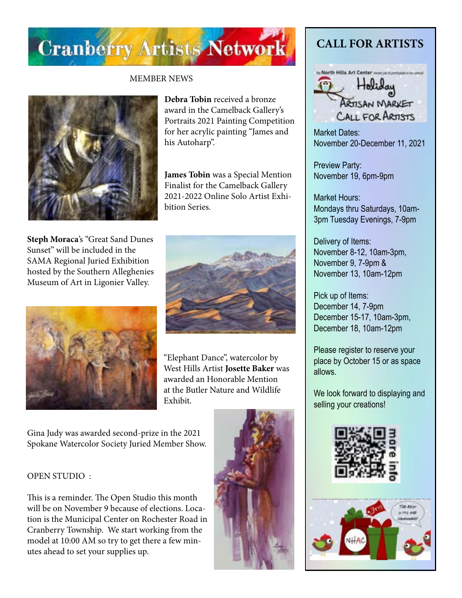

### MEMBER NEWS



**Debra Tobin** received a bronze award in the Camelback Gallery's Portraits 2021 Painting Competition for her acrylic painting "James and his Autoharp".

**James Tobin** was a Special Mention Finalist for the Camelback Gallery 2021-2022 Online Solo Artist Exhibition Series.

**Steph Moraca**'s "Great Sand Dunes Sunset" will be included in the SAMA Regional Juried Exhibition hosted by the Southern Alleghenies Museum of Art in Ligonier Valley.





"Elephant Dance", watercolor by West Hills Artist **Josette Baker** was awarded an Honorable Mention at the Butler Nature and Wildlife Exhibit.

Gina Judy was awarded second-prize in the 2021 Spokane Watercolor Society Juried Member Show.

#### OPEN STUDIO :

This is a reminder. The Open Studio this month will be on November 9 because of elections. Location is the Municipal Center on Rochester Road in Cranberry Township. We start working from the model at 10:00 AM so try to get there a few minutes ahead to set your supplies up.



## **CALL FOR ARTISTS**



Market Dates: November 20-December 11, 2021

Preview Party: November 19, 6pm-9pm

Market Hours: Mondays thru Saturdays, 10am-3pm Tuesday Evenings, 7-9pm

Delivery of Items: November 8-12, 10am-3pm, November 9, 7-9pm & November 13, 10am-12pm

Pick up of Items: December 14, 7-9pm December 15-17, 10am-3pm, December 18, 10am-12pm

Please register to reserve your place by October 15 or as space allows.

We look forward to displaying and selling your creations!



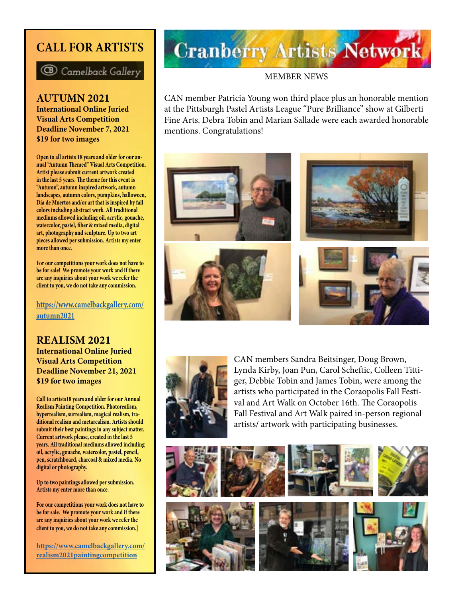## **CALL FOR ARTISTS**



**AUTUMN 2021 International Online Juried Visual Arts Competition Deadline November 7, 2021 \$19 for two images**

**Open to all artists 18 years and older for our annual "Autumn Themed" Visual Arts Competition. Artist please submit current artwork created in the last 5 years. The theme for this event is "Autumn", autumn inspired artwork, autumn landscapes, autumn colors, pumpkins, halloween, Día de Muertos and/or art that is inspired by fall colors including abstract work. All traditional mediums allowed including oil, acrylic, gouache, watercolor, pastel, fiber & mixed media, digital art, photography and sculpture. Up to two art pieces allowed per submission. Artists my enter more than once.** 

**For our competitions your work does not have to be for sale! We promote your work and if there are any inquiries about your work we refer the client to you, we do not take any commission.**

**[https://www.camelbackgallery.com/](https://www.camelbackgallery.com/autumn2021) [autumn2021](https://www.camelbackgallery.com/autumn2021)**

**REALISM 2021 International Online Juried Visual Arts Competition Deadline November 21, 2021 \$19 for two images**

**Call to artists18 years and older for our Annual Realism Painting Competition. Photorealism, hyperrealism, surrealism, magical realism, traditional realism and metarealism. Artists should submit their best paintings in any subject matter. Current artwork please, created in the last 5 years. All traditional mediums allowed including oil, acrylic, gouache, watercolor, pastel, pencil, pen, scratchboard, charcoal & mixed media. No digital or photography.** 

**Up to two paintings allowed per submission. Artists my enter more than once.**

**For our competitions your work does not have to be for sale. We promote your work and if there are any inquiries about your work we refer the client to you, we do not take any commission.]**

**[https://www.camelbackgallery.com/](https://www.camelbackgallery.com/realism2021paintingcompetition) [realism2021paintingcompetition](https://www.camelbackgallery.com/realism2021paintingcompetition)**

## **Cranberry Artists Network**

### MEMBER NEWS

CAN member Patricia Young won third place plus an honorable mention at the Pittsburgh Pastel Artists League "Pure Brilliance" show at Gilberti Fine Arts. Debra Tobin and Marian Sallade were each awarded honorable mentions. Congratulations!





CAN members Sandra Beitsinger, Doug Brown, Lynda Kirby, Joan Pun, Carol Scheftic, Colleen Tittiger, Debbie Tobin and James Tobin, were among the artists who participated in the Coraopolis Fall Festival and Art Walk on October 16th. The Coraopolis Fall Festival and Art Walk paired in-person regional artists/ artwork with participating businesses.